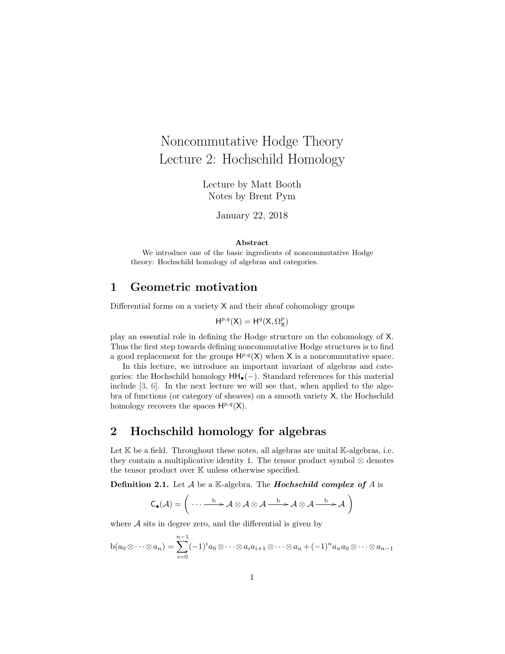# Noncommutative Hodge Theory Lecture 2: Hochschild Homology

Lecture by Matt Booth Notes by Brent Pym

January 22, 2018

#### Abstract

We introduce one of the basic ingredients of noncommutative Hodge theory: Hochschild homology of algebras and categories.

#### 1 Geometric motivation

Differential forms on a variety X and their sheaf cohomology groups

 $H^{p,q}(X) = H^q(X, \Omega_X^p)$ 

play an essential role in defining the Hodge structure on the cohomology of X. Thus the first step towards defining noncommutative Hodge structures is to find a good replacement for the groups  $H^{p,q}(X)$  when X is a noncommutative space.

In this lecture, we introduce an important invariant of algebras and categories: the Hochschild homology  $HH_{\bullet}(-)$ . Standard references for this material include [\[3,](#page-7-0) [6\]](#page-7-1). In the next lecture we will see that, when applied to the algebra of functions (or category of sheaves) on a smooth variety X, the Hochschild homology recovers the spaces  $H^{p,q}(X)$ .

### 2 Hochschild homology for algebras

Let  $K$  be a field. Throughout these notes, all algebras are unital  $K$ -algebras, i.e. they contain a multiplicative identity 1. The tensor product symbol  $\otimes$  denotes the tensor product over K unless otherwise specified.

**Definition 2.1.** Let  $A$  be a K-algebra. The **Hochschild complex of**  $A$  is

$$
C_{\bullet}(\mathcal{A}) = \left( \cdots \xrightarrow{b} \mathcal{A} \otimes \mathcal{A} \otimes \mathcal{A} \xrightarrow{b} \mathcal{A} \otimes \mathcal{A} \xrightarrow{b} \mathcal{A} \right)
$$

where  $A$  sits in degree zero, and the differential is given by

$$
b(a_0\otimes\cdots\otimes a_n)=\sum_{i=0}^{n-1}(-1)^ia_0\otimes\cdots\otimes a_ia_{i+1}\otimes\cdots\otimes a_n+(-1)^na_na_0\otimes\cdots\otimes a_{n-1}
$$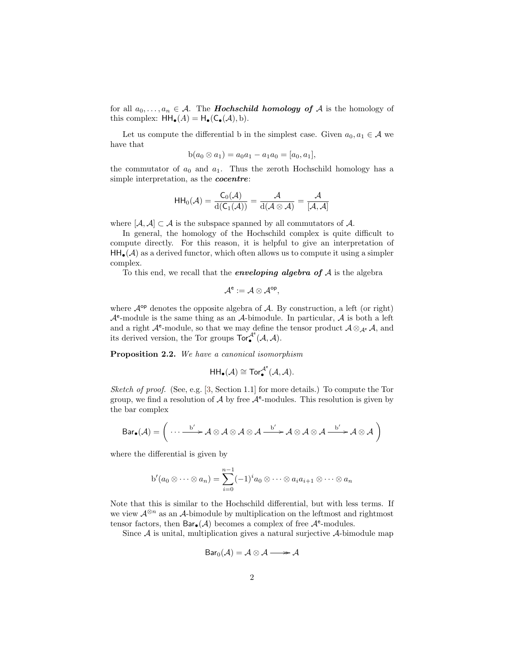for all  $a_0, \ldots, a_n \in A$ . The **Hochschild homology of** A is the homology of this complex:  $HH_{\bullet}(A) = H_{\bullet}(C_{\bullet}(A), b).$ 

Let us compute the differential b in the simplest case. Given  $a_0, a_1 \in \mathcal{A}$  we have that

$$
b(a_0 \otimes a_1) = a_0 a_1 - a_1 a_0 = [a_0, a_1],
$$

the commutator of  $a_0$  and  $a_1$ . Thus the zeroth Hochschild homology has a simple interpretation, as the *cocentre*:

$$
\mathsf{HH}_0(\mathcal{A}) = \frac{\mathsf{C}_0(\mathcal{A})}{\mathrm{d}(\mathsf{C}_1(\mathcal{A}))} = \frac{\mathcal{A}}{\mathrm{d}(\mathcal{A}\otimes\mathcal{A})} = \frac{\mathcal{A}}{[\mathcal{A},\mathcal{A}]}
$$

where  $[\mathcal{A}, \mathcal{A}] \subset \mathcal{A}$  is the subspace spanned by all commutators of  $\mathcal{A}$ .

In general, the homology of the Hochschild complex is quite difficult to compute directly. For this reason, it is helpful to give an interpretation of  $HH_{\bullet}(\mathcal{A})$  as a derived functor, which often allows us to compute it using a simpler complex.

To this end, we recall that the *enveloping algebra of*  $A$  is the algebra

$$
\mathcal{A}^e:=\mathcal{A}\otimes\mathcal{A}^{op},
$$

where  $\mathcal{A}^{\text{op}}$  denotes the opposite algebra of  $\mathcal{A}$ . By construction, a left (or right)  $A<sup>e</sup>$ -module is the same thing as an A-bimodule. In particular, A is both a left and a right  $\mathcal{A}^e$ -module, so that we may define the tensor product  $\mathcal{A} \otimes_{\mathcal{A}^e} \mathcal{A}$ , and its derived version, the Tor groups  $\operatorname{Tor}^{\mathcal{A}^e}_{\bullet}(\mathcal{A},\mathcal{A})$ .

<span id="page-1-0"></span>Proposition 2.2. We have a canonical isomorphism

$$
\mathsf{HH}_\bullet(\mathcal{A}) \cong \mathsf{Tor}_\bullet^{\mathcal{A}^e}(\mathcal{A},\mathcal{A}).
$$

Sketch of proof. (See, e.g. [\[3,](#page-7-0) Section 1.1] for more details.) To compute the Tor group, we find a resolution of  $A$  by free  $A^e$ -modules. This resolution is given by the bar complex

$$
Bar_{\bullet}(\mathcal{A}) = \left( \cdots \xrightarrow{b'} \mathcal{A} \otimes \mathcal{A} \otimes \mathcal{A} \otimes \mathcal{A} \xrightarrow{b'} \mathcal{A} \otimes \mathcal{A} \otimes \mathcal{A} \xrightarrow{b'} \mathcal{A} \otimes \mathcal{A} \right)
$$

where the differential is given by

$$
b'(a_0 \otimes \cdots \otimes a_n) = \sum_{i=0}^{n-1} (-1)^i a_0 \otimes \cdots \otimes a_i a_{i+1} \otimes \cdots \otimes a_n
$$

Note that this is similar to the Hochschild differential, but with less terms. If we view  $\mathcal{A}^{\otimes n}$  as an  $\mathcal{A}$ -bimodule by multiplication on the leftmost and rightmost tensor factors, then  $Bar_{\bullet}(\mathcal{A})$  becomes a complex of free  $\mathcal{A}^e$ -modules.

Since  $A$  is unital, multiplication gives a natural surjective  $A$ -bimodule map

$$
Bar_0(\mathcal{A}) = \mathcal{A} \otimes \mathcal{A} \longrightarrow \mathcal{A}
$$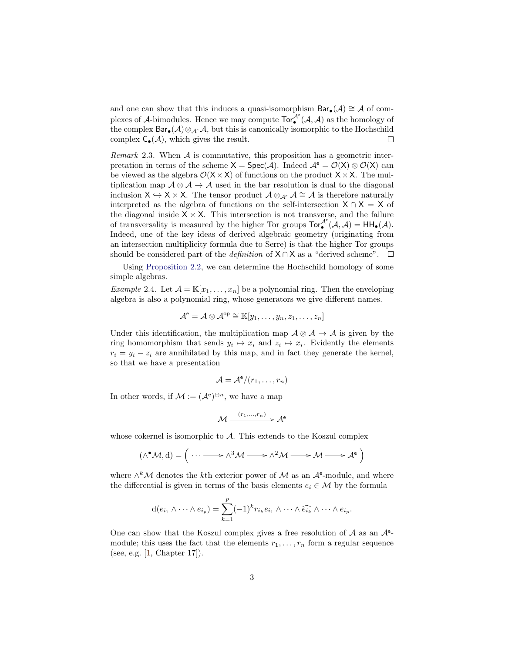and one can show that this induces a quasi-isomorphism  $Bar_{\bullet}(\mathcal{A}) \cong \mathcal{A}$  of complexes of A-bimodules. Hence we may compute  $\text{Tor}_{\bullet}^{\mathcal{A}^e}(\mathcal{A}, \mathcal{A})$  as the homology of the complex  $Bar_{\bullet}(\mathcal{A}) \otimes_{\mathcal{A}^e} \mathcal{A}$ , but this is canonically isomorphic to the Hochschild complex  $C_{\bullet}(\mathcal{A})$ , which gives the result.  $\Box$ 

Remark 2.3. When  $A$  is commutative, this proposition has a geometric interpretation in terms of the scheme  $X = \text{Spec}(\mathcal{A})$ . Indeed  $\mathcal{A}^e = \mathcal{O}(X) \otimes \mathcal{O}(X)$  can be viewed as the algebra  $\mathcal{O}(X \times X)$  of functions on the product  $X \times X$ . The multiplication map  $A \otimes A \rightarrow A$  used in the bar resolution is dual to the diagonal inclusion  $X \hookrightarrow X \times X$ . The tensor product  $\mathcal{A} \otimes_{\mathcal{A}^e} \mathcal{A} \cong \mathcal{A}$  is therefore naturally interpreted as the algebra of functions on the self-intersection  $X \cap X = X$  of the diagonal inside  $X \times X$ . This intersection is not transverse, and the failure of transversality is measured by the higher Tor groups  $Tor_{\bullet}^{\mathcal{A}^e}(\mathcal{A}, \mathcal{A}) = HH_{\bullet}(\mathcal{A}).$ Indeed, one of the key ideas of derived algebraic geometry (originating from an intersection multiplicity formula due to Serre) is that the higher Tor groups should be considered part of the *definition* of  $X \cap X$  as a "derived scheme".  $\square$ 

Using [Proposition 2.2,](#page-1-0) we can determine the Hochschild homology of some simple algebras.

<span id="page-2-0"></span>*Example 2.4.* Let  $\mathcal{A} = \mathbb{K}[x_1, \ldots, x_n]$  be a polynomial ring. Then the enveloping algebra is also a polynomial ring, whose generators we give different names.

$$
\mathcal{A}^{\mathsf{e}} = \mathcal{A} \otimes \mathcal{A}^{\mathsf{op}} \cong \mathbb{K}[y_1, \ldots, y_n, z_1, \ldots, z_n]
$$

Under this identification, the multiplication map  $\mathcal{A} \otimes \mathcal{A} \to \mathcal{A}$  is given by the ring homomorphism that sends  $y_i \mapsto x_i$  and  $z_i \mapsto x_i$ . Evidently the elements  $r_i = y_i - z_i$  are annihilated by this map, and in fact they generate the kernel, so that we have a presentation

$$
\mathcal{A} = \mathcal{A}^e/(r_1,\ldots,r_n)
$$

In other words, if  $\mathcal{M} := (\mathcal{A}^e)^{\oplus n}$ , we have a map

$$
\mathcal{M} \xrightarrow{(r_1,\ldots,r_n)} \mathcal{A}^e
$$

whose cokernel is isomorphic to  $A$ . This extends to the Koszul complex

$$
(\wedge^{\bullet} \mathcal{M}, d) = \Big( \cdots \longrightarrow \wedge^3 \mathcal{M} \longrightarrow \wedge^2 \mathcal{M} \longrightarrow \mathcal{M} \longrightarrow \mathcal{A}^e \Big)
$$

where  $\wedge^k \mathcal{M}$  denotes the k<sup>th</sup> exterior power of  $\mathcal M$  as an  $\mathcal A^e$ -module, and where the differential is given in terms of the basis elements  $e_i \in \mathcal{M}$  by the formula

$$
d(e_{i_1} \wedge \cdots \wedge e_{i_p}) = \sum_{k=1}^p (-1)^k r_{i_k} e_{i_1} \wedge \cdots \wedge \widehat{e_{i_k}} \wedge \cdots \wedge e_{i_p}.
$$

One can show that the Koszul complex gives a free resolution of  $A$  as an  $A^e$ module; this uses the fact that the elements  $r_1, \ldots, r_n$  form a regular sequence (see, e.g. [\[1,](#page-7-2) Chapter 17]).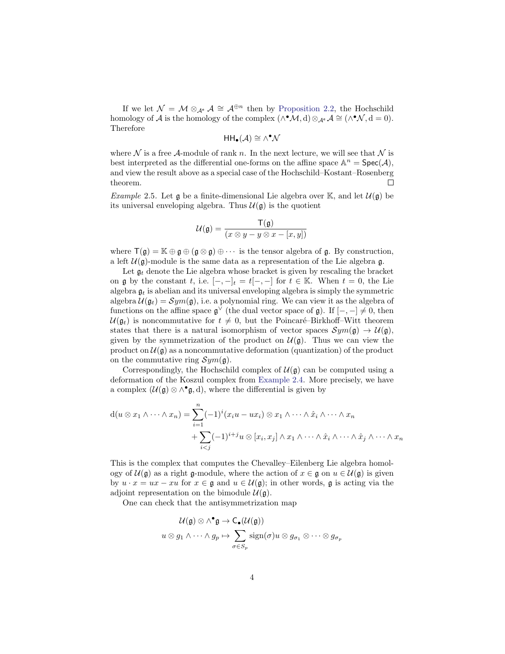If we let  $\mathcal{N} = \mathcal{M} \otimes_{\mathcal{A}^e} \mathcal{A} \cong \mathcal{A}^{\oplus n}$  then by [Proposition 2.2,](#page-1-0) the Hochschild homology of A is the homology of the complex  $(\wedge^{\bullet} \mathcal{M}, d) \otimes_{\mathcal{A}^e} \mathcal{A} \cong (\wedge^{\bullet} \mathcal{N}, d = 0)$ . Therefore

$$
\mathsf{HH}_\bullet(\mathcal{A}) \cong \wedge^\bullet \mathcal{N}
$$

where N is a free A-module of rank n. In the next lecture, we will see that N is best interpreted as the differential one-forms on the affine space  $\mathbb{A}^n = \text{Spec}(\mathcal{A}),$ and view the result above as a special case of the Hochschild–Kostant–Rosenberg theorem.  $\Box$ 

*Example* 2.5. Let  $\mathfrak g$  be a finite-dimensional Lie algebra over K, and let  $\mathcal{U}(\mathfrak g)$  be its universal enveloping algebra. Thus  $\mathcal{U}(\mathfrak{g})$  is the quotient

$$
\mathcal{U}(\mathfrak{g}) = \frac{\mathsf{T}(\mathfrak{g})}{(x \otimes y - y \otimes x - [x, y])}
$$

where  $\mathsf{T}(\mathfrak{g}) = \mathbb{K} \oplus \mathfrak{g} \oplus (\mathfrak{g} \otimes \mathfrak{g}) \oplus \cdots$  is the tensor algebra of  $\mathfrak{g}$ . By construction, a left  $\mathcal{U}(\mathfrak{g})$ -module is the same data as a representation of the Lie algebra g.

Let  $\mathfrak{g}_t$  denote the Lie algebra whose bracket is given by rescaling the bracket on g by the constant t, i.e.  $[-,-]_t = t[-,-]$  for  $t \in \mathbb{K}$ . When  $t = 0$ , the Lie algebra  $\mathfrak{g}_t$  is abelian and its universal enveloping algebra is simply the symmetric algebra  $\mathcal{U}(\mathfrak{g}_t) = \mathcal{S}ym(\mathfrak{g})$ , i.e. a polynomial ring. We can view it as the algebra of functions on the affine space  $\mathfrak{g}^{\vee}$  (the dual vector space of  $\mathfrak{g}$ ). If  $[-,-] \neq 0$ , then  $U(\mathfrak{g}_t)$  is noncommutative for  $t \neq 0$ , but the Poincaré–Birkhoff–Witt theorem states that there is a natural isomorphism of vector spaces  $Sym(\mathfrak{g}) \to \mathcal{U}(\mathfrak{g})$ , given by the symmetrization of the product on  $\mathcal{U}(\mathfrak{g})$ . Thus we can view the product on  $\mathcal{U}(\mathfrak{g})$  as a noncommutative deformation (quantization) of the product on the commutative ring  $Sym(\mathfrak{g})$ .

Correspondingly, the Hochschild complex of  $\mathcal{U}(\mathfrak{g})$  can be computed using a deformation of the Koszul complex from [Example 2.4.](#page-2-0) More precisely, we have a complex  $(U(\mathfrak{g}) \otimes \wedge^{\bullet} \mathfrak{g}, d)$ , where the differential is given by

$$
d(u \otimes x_1 \wedge \cdots \wedge x_n) = \sum_{i=1}^n (-1)^i (x_i u - u x_i) \otimes x_1 \wedge \cdots \wedge \hat{x}_i \wedge \cdots \wedge x_n
$$
  
+ 
$$
\sum_{i < j} (-1)^{i+j} u \otimes [x_i, x_j] \wedge x_1 \wedge \cdots \wedge \hat{x}_i \wedge \cdots \wedge \hat{x}_j \wedge \cdots \wedge x_n
$$

This is the complex that computes the Chevalley–Eilenberg Lie algebra homology of  $\mathcal{U}(\mathfrak{g})$  as a right g-module, where the action of  $x \in \mathfrak{g}$  on  $u \in \mathcal{U}(\mathfrak{g})$  is given by  $u \cdot x = ux - xu$  for  $x \in \mathfrak{g}$  and  $u \in \mathcal{U}(\mathfrak{g})$ ; in other words,  $\mathfrak{g}$  is acting via the adjoint representation on the bimodule  $\mathcal{U}(\mathfrak{g})$ .

One can check that the antisymmetrization map

$$
\mathcal{U}(\mathfrak{g}) \otimes \wedge^{\bullet} \mathfrak{g} \to C_{\bullet}(\mathcal{U}(\mathfrak{g}))
$$

$$
u \otimes g_1 \wedge \cdots \wedge g_p \mapsto \sum_{\sigma \in S_p} \text{sign}(\sigma) u \otimes g_{\sigma_1} \otimes \cdots \otimes g_{\sigma_p}
$$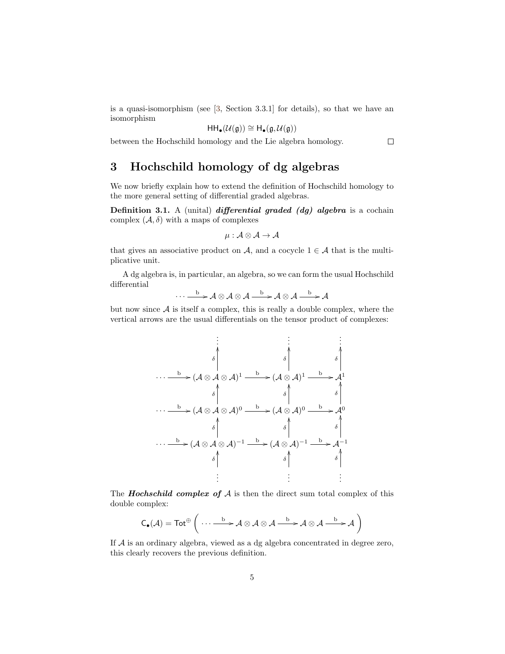is a quasi-isomorphism (see [\[3,](#page-7-0) Section 3.3.1] for details), so that we have an isomorphism

$$
\mathsf{HH}_\bullet(\mathcal{U}(\mathfrak{g}))\cong \mathsf{H}_\bullet(\mathfrak{g},\mathcal{U}(\mathfrak{g}))
$$

between the Hochschild homology and the Lie algebra homology.

 $\Box$ 

## 3 Hochschild homology of dg algebras

We now briefly explain how to extend the definition of Hochschild homology to the more general setting of differential graded algebras.

Definition 3.1. A (unital) differential graded  $(dg)$  algebra is a cochain complex  $(\mathcal{A}, \delta)$  with a maps of complexes

$$
\mu: \mathcal{A} \otimes \mathcal{A} \to \mathcal{A}
$$

that gives an associative product on A, and a cocycle  $1 \in \mathcal{A}$  that is the multiplicative unit.

A dg algebra is, in particular, an algebra, so we can form the usual Hochschild differential

$$
\cdots \xrightarrow{b} \mathcal{A} \otimes \mathcal{A} \otimes \mathcal{A} \xrightarrow{b} \mathcal{A} \otimes \mathcal{A} \xrightarrow{b} \mathcal{A}
$$

but now since  $A$  is itself a complex, this is really a double complex, where the vertical arrows are the usual differentials on the tensor product of complexes:

$$
\begin{array}{c}\n\vdots \\
\downarrow \\
\downarrow \\
\hline\n\end{array}\n\rightarrow (\mathcal{A} \otimes \mathcal{A} \otimes \mathcal{A})^{1} \xrightarrow{b} (\mathcal{A} \otimes \mathcal{A})^{1} \xrightarrow{b} \mathcal{A}^{1}
$$
\n
$$
\cdots \xrightarrow{b} (\mathcal{A} \otimes \mathcal{A} \otimes \mathcal{A})^{0} \xrightarrow{b} (\mathcal{A} \otimes \mathcal{A})^{0} \xrightarrow{b} \mathcal{A}^{0}
$$
\n
$$
\cdots \xrightarrow{b} (\mathcal{A} \otimes \mathcal{A} \otimes \mathcal{A})^{0} \xrightarrow{b} (\mathcal{A} \otimes \mathcal{A})^{0} \xrightarrow{b} \mathcal{A}^{0}
$$
\n
$$
\cdots \xrightarrow{b} (\mathcal{A} \otimes \mathcal{A} \otimes \mathcal{A})^{-1} \xrightarrow{b} (\mathcal{A} \otimes \mathcal{A})^{-1} \xrightarrow{b} \mathcal{A}^{-1}
$$
\n
$$
\uparrow
$$
\n
$$
\vdots \qquad \vdots \qquad \vdots
$$

The **Hochschild complex of**  $A$  is then the direct sum total complex of this double complex:

$$
C_\bullet({\mathcal A})=\mathsf {Tot}^{\oplus}\left(\ \cdots \ \stackrel{b}{\longrightarrow} {\mathcal A} \otimes {\mathcal A} \otimes {\mathcal A} \stackrel{b}{\longrightarrow} {\mathcal A} \otimes {\mathcal A} \stackrel{b}{\longrightarrow} {\mathcal A}\ \right)
$$

If A is an ordinary algebra, viewed as a dg algebra concentrated in degree zero, this clearly recovers the previous definition.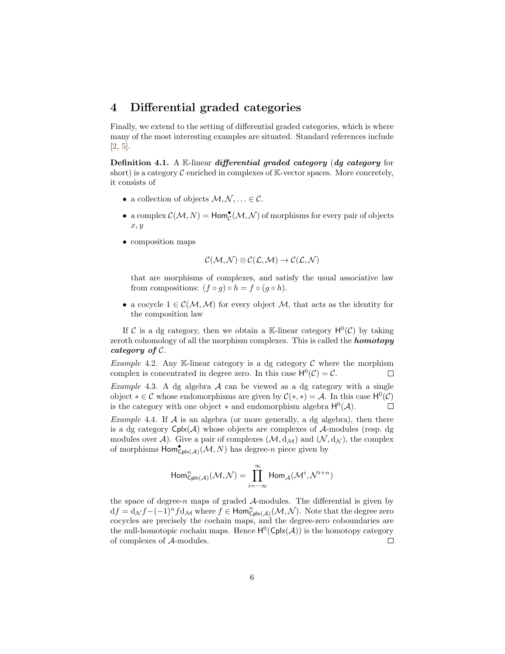#### 4 Differential graded categories

Finally, we extend to the setting of differential graded categories, which is where many of the most interesting examples are situated. Standard references include [\[2,](#page-7-3) [5\]](#page-7-4).

Definition 4.1. A K-linear differential graded category (dg category for short) is a category  $C$  enriched in complexes of  $K$ -vector spaces. More concretely, it consists of

- a collection of objects  $M, N, \ldots \in \mathcal{C}$ .
- a complex  $\mathcal{C}(\mathcal{M},N) = \text{Hom}_{\mathcal{C}}^{\bullet}(\mathcal{M},\mathcal{N})$  of morphisms for every pair of objects  $x, y$
- composition maps

$$
\mathcal{C}(\mathcal{M},\mathcal{N})\otimes\mathcal{C}(\mathcal{L},\mathcal{M})\rightarrow\mathcal{C}(\mathcal{L},\mathcal{N})
$$

that are morphisms of complexes, and satisfy the usual associative law from compositions:  $(f \circ q) \circ h = f \circ (q \circ h)$ .

• a cocycle  $1 \in \mathcal{C}(\mathcal{M}, \mathcal{M})$  for every object  $\mathcal{M}$ , that acts as the identity for the composition law

If C is a dg category, then we obtain a K-linear category  $H^0(\mathcal{C})$  by taking zeroth cohomology of all the morphism complexes. This is called the **homotopy** category of C.

Example 4.2. Any K-linear category is a dg category  $\mathcal C$  where the morphism complex is concentrated in degree zero. In this case  $H^0(\mathcal{C}) = \mathcal{C}$ .  $\Box$ 

Example 4.3. A dg algebra  $A$  can be viewed as a dg category with a single object  $*\in \mathcal{C}$  whose endomorphisms are given by  $\mathcal{C}(*,*) = \mathcal{A}$ . In this case  $H^0(\mathcal{C})$ is the category with one object  $*$  and endomorphism algebra  $H^0(\mathcal{A})$ .  $\Box$ 

*Example 4.4.* If  $A$  is an algebra (or more generally, a dg algebra), then there is a dg category  $Cplx(\mathcal{A})$  whose objects are complexes of  $\mathcal{A}$ -modules (resp. dg modules over A). Give a pair of complexes  $(M, d<sub>M</sub>)$  and  $(N, d<sub>N</sub>)$ , the complex of morphisms  $\mathsf{Hom}^{\bullet}_{\mathsf{Cplx}(\mathcal{A})}(\mathcal{M}, N)$  has degree-n piece given by

$$
\operatorname{Hom}^n_{\operatorname{Cplx}(\mathcal{A})}(\mathcal{M},\mathcal{N})=\prod_{i=-\infty}^\infty \operatorname{Hom}_{\mathcal{A}}(\mathcal{M}^i,\mathcal{N}^{i+n})
$$

the space of degree-n maps of graded  $A$ -modules. The differential is given by  $df = d_{\mathcal{N}}f - (-1)^n f d_{\mathcal{M}}$  where  $f \in \text{Hom}_{\text{Cplx}(\mathcal{A})}^n(\mathcal{M}, \mathcal{N})$ . Note that the degree zero cocycles are precisely the cochain maps, and the degree-zero coboundaries are the null-homotopic cochain maps. Hence  $H^0(\mathsf{Cplx}(\mathcal{A}))$  is the homotopy category of complexes of A-modules.  $\Box$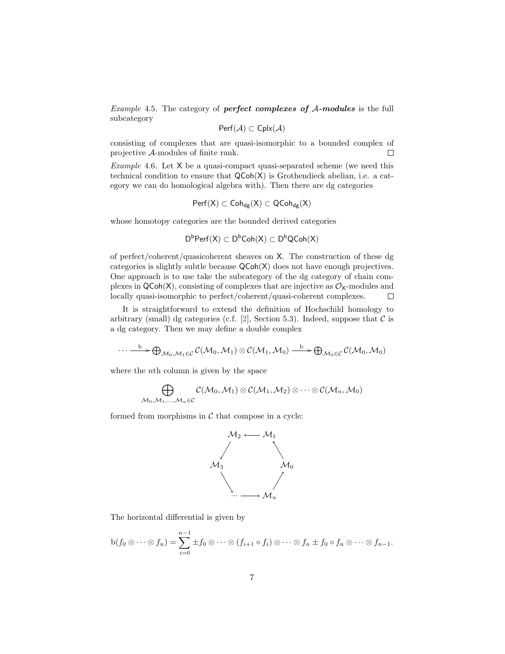Example 4.5. The category of **perfect complexes of A-modules** is the full subcategory

$$
Perf(\mathcal{A}) \subset \mathsf{Cplx}(\mathcal{A})
$$

consisting of complexes that are quasi-isomorphic to a bounded complex of projective A-modules of finite rank.  $\Box$ 

*Example 4.6.* Let  $X$  be a quasi-compact quasi-separated scheme (we need this technical condition to ensure that QCoh(X) is Grothendieck abelian, i.e. a category we can do homological algebra with). Then there are dg categories

$$
\mathsf{Perf}(X) \subset \mathsf{Coh}_{dg}(X) \subset \mathsf{QCoh}_{dg}(X)
$$

whose homotopy categories are the bounded derived categories

$$
D^bPerf(X)\subset D^bCoh(X)\subset D^bQCoh(X)
$$

of perfect/coherent/quasicoherent sheaves on X. The construction of these dg categories is slightly subtle because QCoh(X) does not have enough projectives. One approach is to use take the subcategory of the dg category of chain complexes in  $QCoh(X)$ , consisting of complexes that are injective as  $\mathcal{O}_X$ -modules and locally quasi-isomorphic to perfect/coherent/quasi-coherent complexes.  $\Box$ 

It is straightforward to extend the definition of Hochschild homology to arbitrary (small) dg categories (c.f. [\[2\]](#page-7-3), Section 5.3). Indeed, suppose that  $\mathcal C$  is a dg category. Then we may define a double complex

$$
\cdots \xrightarrow{b} \bigoplus_{\mathcal{M}_0, \mathcal{M}_1 \in \mathcal{C}} \mathcal{C}(\mathcal{M}_0, \mathcal{M}_1) \otimes \mathcal{C}(\mathcal{M}_1, \mathcal{M}_0) \xrightarrow{b} \bigoplus_{\mathcal{M}_0 \in \mathcal{C}} \mathcal{C}(\mathcal{M}_0, \mathcal{M}_0)
$$

where the *n*<sup>th</sup> column is given by the space

$$
\bigoplus_{{\cal M}_0,{\cal M}_1,...,{\cal M}_n\in{\cal C}}{\cal C}({\cal M}_0,{\cal M}_1)\otimes{\cal C}({\cal M}_1,{\cal M}_2)\otimes\cdots\otimes{\cal C}({\cal M}_n,{\cal M}_0)
$$

formed from morphisms in  $\mathcal C$  that compose in a cycle:



The horizontal differential is given by

$$
b(f_0\otimes\cdots\otimes f_n)=\sum_{i=0}^{n-1}\pm f_0\otimes\cdots\otimes (f_{i+1}\circ f_i)\otimes\cdots\otimes f_n\pm f_0\circ f_n\otimes\cdots\otimes f_{n-1}.
$$